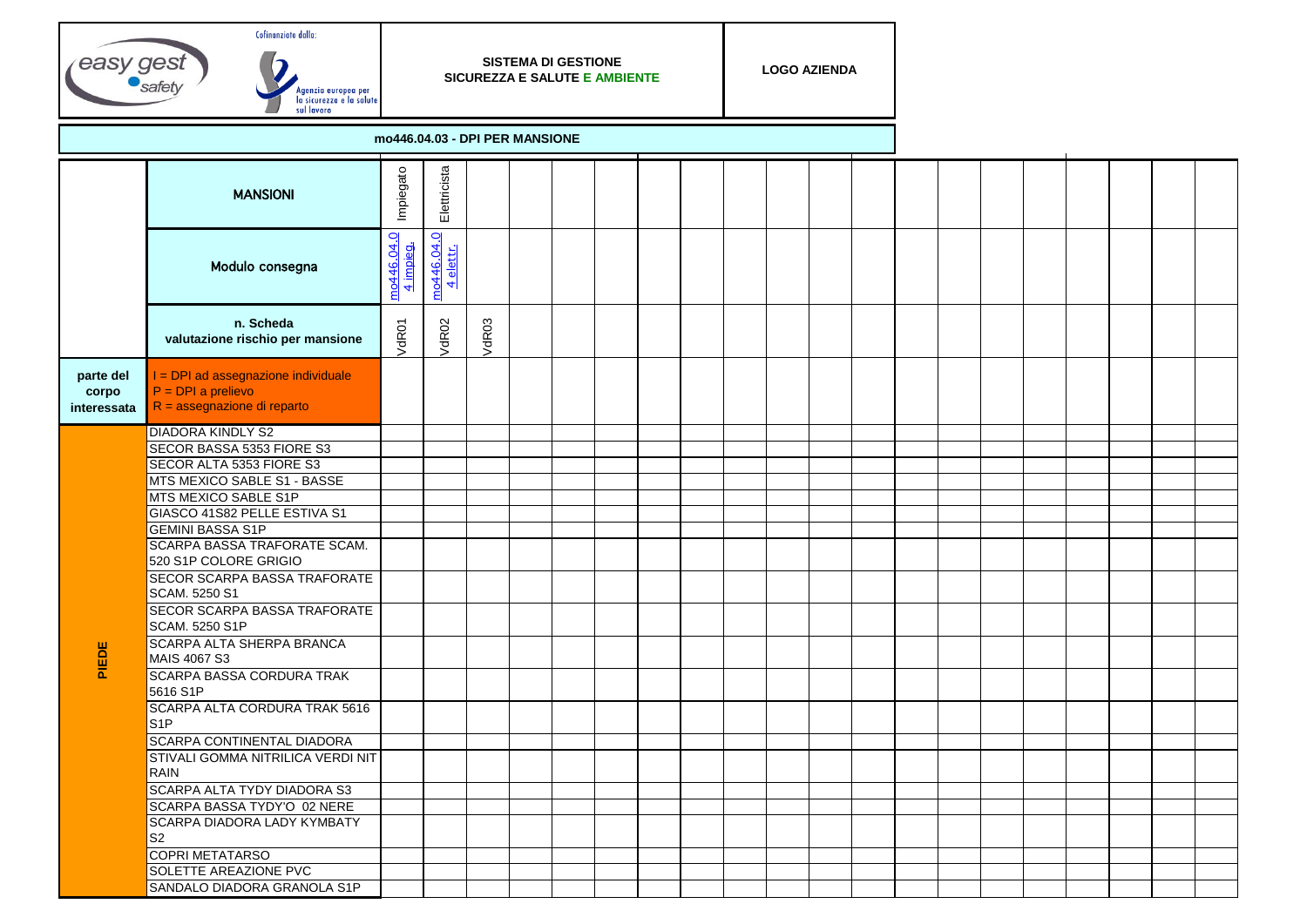



## sul lavoro **mo446.04.03 - DPI PER MANSIONE**Elettricista Impiegato MANSIONI [m](ESEMPI MODULI COMPILATI/mo446.04.04 impieg..doc)o446.04.0 [4](ESEMPI MODULI COMPILATI/mo446.04.04 impieg..doc) impieg. [m](ESEMPI MODULI COMPILATI/mo446.04.04 elettr..doc)o446.04.0 [4](ESEMPI MODULI COMPILATI/mo446.04.04 elettr..doc) elettr. Modulo consegna VdR02 **n. Scheda** VdR01 VdR03 **valutazione rischio per mansione parte del**  I = DPI ad assegnazione individuale **corpo**  P = DPI a prelievo R = assegnazione di reparto **interessata** DIADORA KINDLY S2 SECOR BASSA 5353 FIORE S3 SECOR ALTA 5353 FIORE S3 MTS MEXICO SABLE S1 - BASSE MTS MEXICO SABLE S1P GIASCO 41S82 PELLE ESTIVA S1 GEMINI BASSA S1P SCARPA BASSA TRAFORATE SCAM. 520 S1P COLORE GRIGIO SECOR SCARPA BASSA TRAFORATE SCAM. 5250 S1 SECOR SCARPA BASSA TRAFORATE SCAM. 5250 S1P SCARPA ALTA SHERPA BRANCA **PIEDE** MAIS 4067 S3 SCARPA BASSA CORDURA TRAK 5616 S1P SCARPA ALTA CORDURA TRAK 5616 S1P SCARPA CONTINENTAL DIADORA STIVALI GOMMA NITRILICA VERDI NIT RAIN SCARPA ALTA TYDY DIADORA S3 SCARPA BASSA TYDY'O 02 NERE SCARPA DIADORA LADY KYMBATY  $S<sub>2</sub>$ COPRI METATARSO SOLETTE AREAZIONE PVC SANDALO DIADORA GRANOLA S1P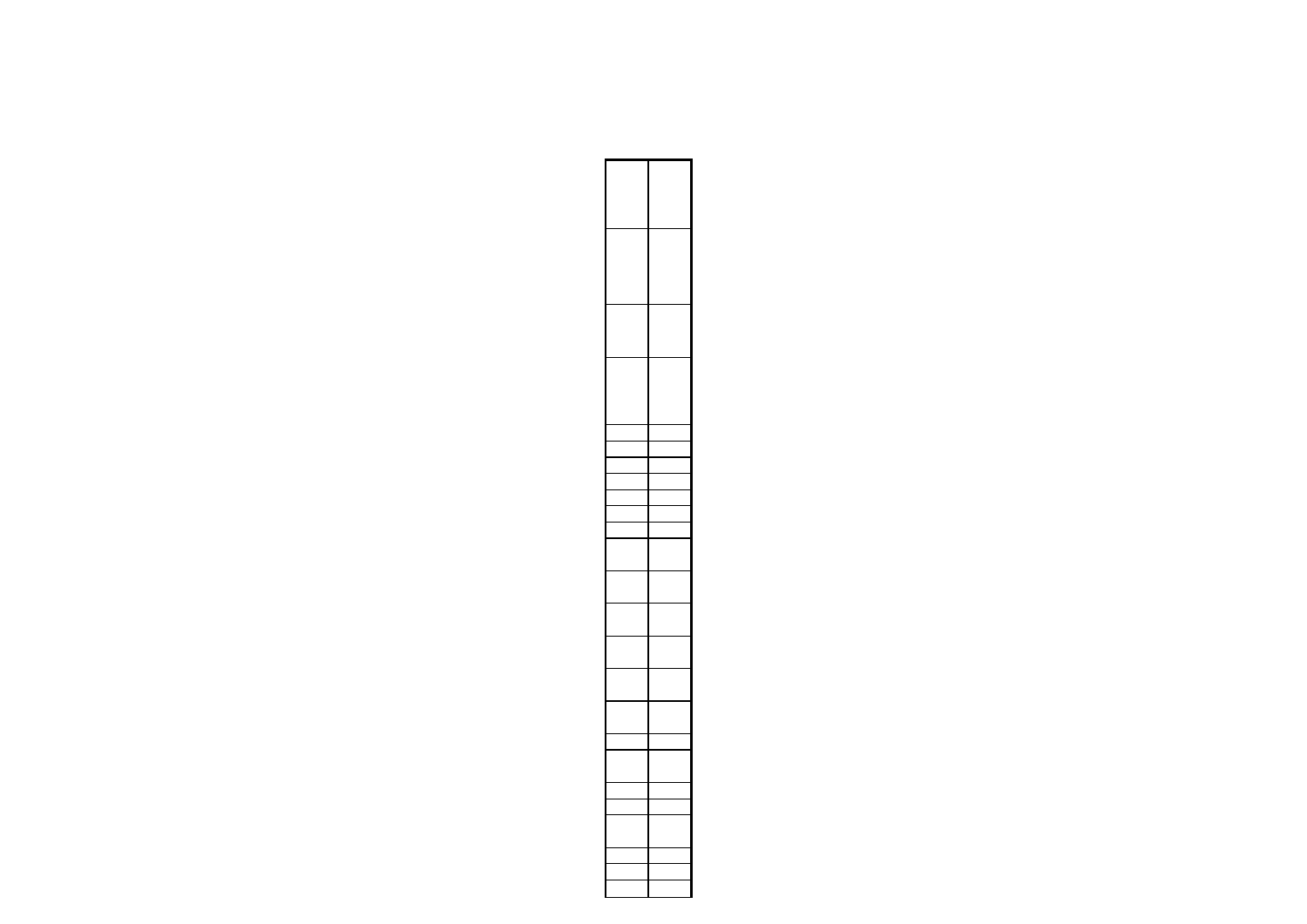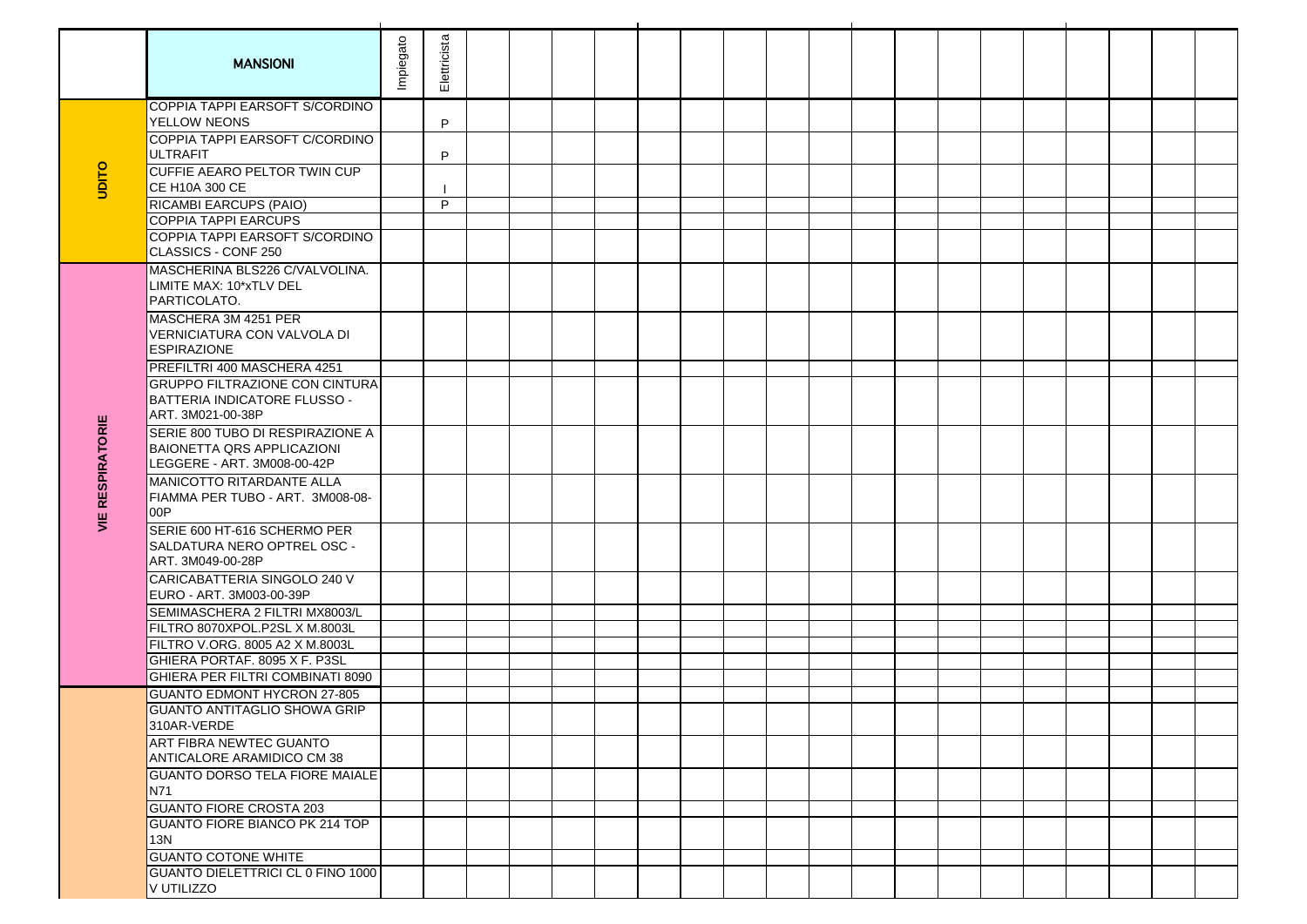|                         | <b>MANSIONI</b>                                                                                      | Impiegato | Elettricista |  |  |  |  |  |  |  |  |  |
|-------------------------|------------------------------------------------------------------------------------------------------|-----------|--------------|--|--|--|--|--|--|--|--|--|
|                         | COPPIA TAPPI EARSOFT S/CORDINO<br>YELLOW NEONS                                                       |           | P            |  |  |  |  |  |  |  |  |  |
|                         | COPPIA TAPPI EARSOFT C/CORDINO<br><b>ULTRAFIT</b>                                                    |           | P            |  |  |  |  |  |  |  |  |  |
| UDITO                   | CUFFIE AEARO PELTOR TWIN CUP<br>CE H10A 300 CE                                                       |           |              |  |  |  |  |  |  |  |  |  |
|                         | RICAMBI EARCUPS (PAIO)                                                                               |           | P            |  |  |  |  |  |  |  |  |  |
|                         | <b>COPPIA TAPPI EARCUPS</b>                                                                          |           |              |  |  |  |  |  |  |  |  |  |
|                         | COPPIA TAPPI EARSOFT S/CORDINO<br>CLASSICS - CONF 250                                                |           |              |  |  |  |  |  |  |  |  |  |
|                         | MASCHERINA BLS226 C/VALVOLINA.<br>LIMITE MAX: 10*xTLV DEL<br>PARTICOLATO.                            |           |              |  |  |  |  |  |  |  |  |  |
|                         | MASCHERA 3M 4251 PER<br>VERNICIATURA CON VALVOLA DI<br><b>ESPIRAZIONE</b>                            |           |              |  |  |  |  |  |  |  |  |  |
|                         | PREFILTRI 400 MASCHERA 4251                                                                          |           |              |  |  |  |  |  |  |  |  |  |
| <b>VIE RESPIRATORIE</b> | <b>GRUPPO FILTRAZIONE CON CINTURA</b><br>BATTERIA INDICATORE FLUSSO -<br>ART. 3M021-00-38P           |           |              |  |  |  |  |  |  |  |  |  |
|                         | SERIE 800 TUBO DI RESPIRAZIONE A<br><b>BAIONETTA QRS APPLICAZIONI</b><br>LEGGERE - ART. 3M008-00-42P |           |              |  |  |  |  |  |  |  |  |  |
|                         | MANICOTTO RITARDANTE ALLA<br>FIAMMA PER TUBO - ART. 3M008-08-<br>00P                                 |           |              |  |  |  |  |  |  |  |  |  |
|                         | SERIE 600 HT-616 SCHERMO PER<br>SALDATURA NERO OPTREL OSC -<br>ART. 3M049-00-28P                     |           |              |  |  |  |  |  |  |  |  |  |
|                         | CARICABATTERIA SINGOLO 240 V<br>EURO - ART. 3M003-00-39P                                             |           |              |  |  |  |  |  |  |  |  |  |
|                         | SEMIMASCHERA 2 FILTRI MX8003/L                                                                       |           |              |  |  |  |  |  |  |  |  |  |
|                         | FILTRO 8070XPOL.P2SL X M.8003L                                                                       |           |              |  |  |  |  |  |  |  |  |  |
|                         | FILTRO V.ORG. 8005 A2 X M.8003L                                                                      |           |              |  |  |  |  |  |  |  |  |  |
|                         | GHIERA PORTAF. 8095 X F. P3SL<br>GHIERA PER FILTRI COMBINATI 8090                                    |           |              |  |  |  |  |  |  |  |  |  |
|                         | <b>GUANTO EDMONT HYCRON 27-805</b>                                                                   |           |              |  |  |  |  |  |  |  |  |  |
|                         | <b>GUANTO ANTITAGLIO SHOWA GRIP</b><br>310AR-VERDE                                                   |           |              |  |  |  |  |  |  |  |  |  |
|                         | ART FIBRA NEWTEC GUANTO<br>ANTICALORE ARAMIDICO CM 38                                                |           |              |  |  |  |  |  |  |  |  |  |
|                         | <b>GUANTO DORSO TELA FIORE MAIALE</b><br>N71                                                         |           |              |  |  |  |  |  |  |  |  |  |
|                         | <b>GUANTO FIORE CROSTA 203</b>                                                                       |           |              |  |  |  |  |  |  |  |  |  |
|                         | GUANTO FIORE BIANCO PK 214 TOP<br><b>13N</b>                                                         |           |              |  |  |  |  |  |  |  |  |  |
|                         | <b>GUANTO COTONE WHITE</b>                                                                           |           |              |  |  |  |  |  |  |  |  |  |
|                         | GUANTO DIELETTRICI CL 0 FINO 1000<br>V UTILIZZO                                                      |           |              |  |  |  |  |  |  |  |  |  |
|                         |                                                                                                      |           |              |  |  |  |  |  |  |  |  |  |
|                         |                                                                                                      |           |              |  |  |  |  |  |  |  |  |  |
|                         |                                                                                                      |           |              |  |  |  |  |  |  |  |  |  |
|                         |                                                                                                      |           |              |  |  |  |  |  |  |  |  |  |
|                         |                                                                                                      |           |              |  |  |  |  |  |  |  |  |  |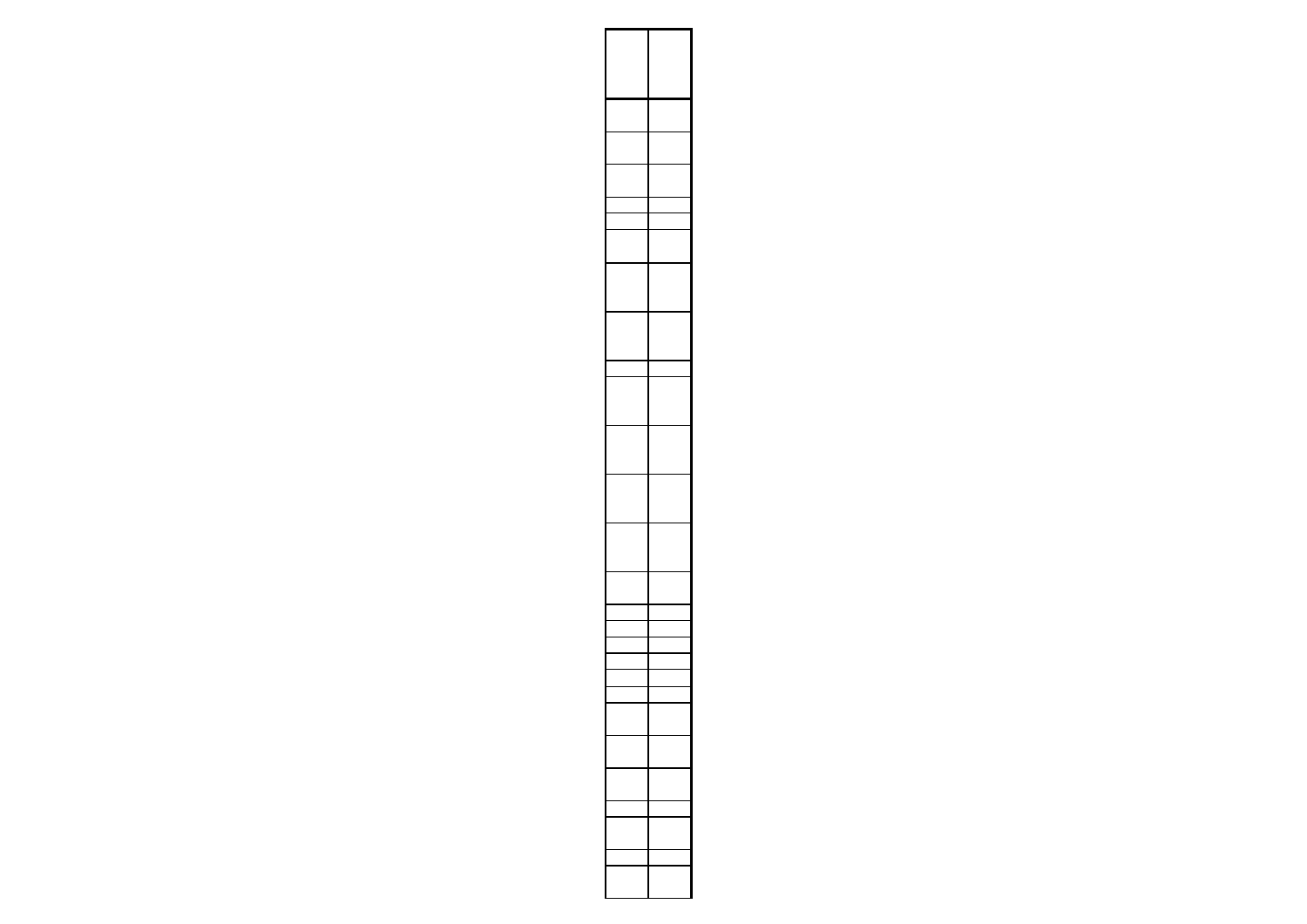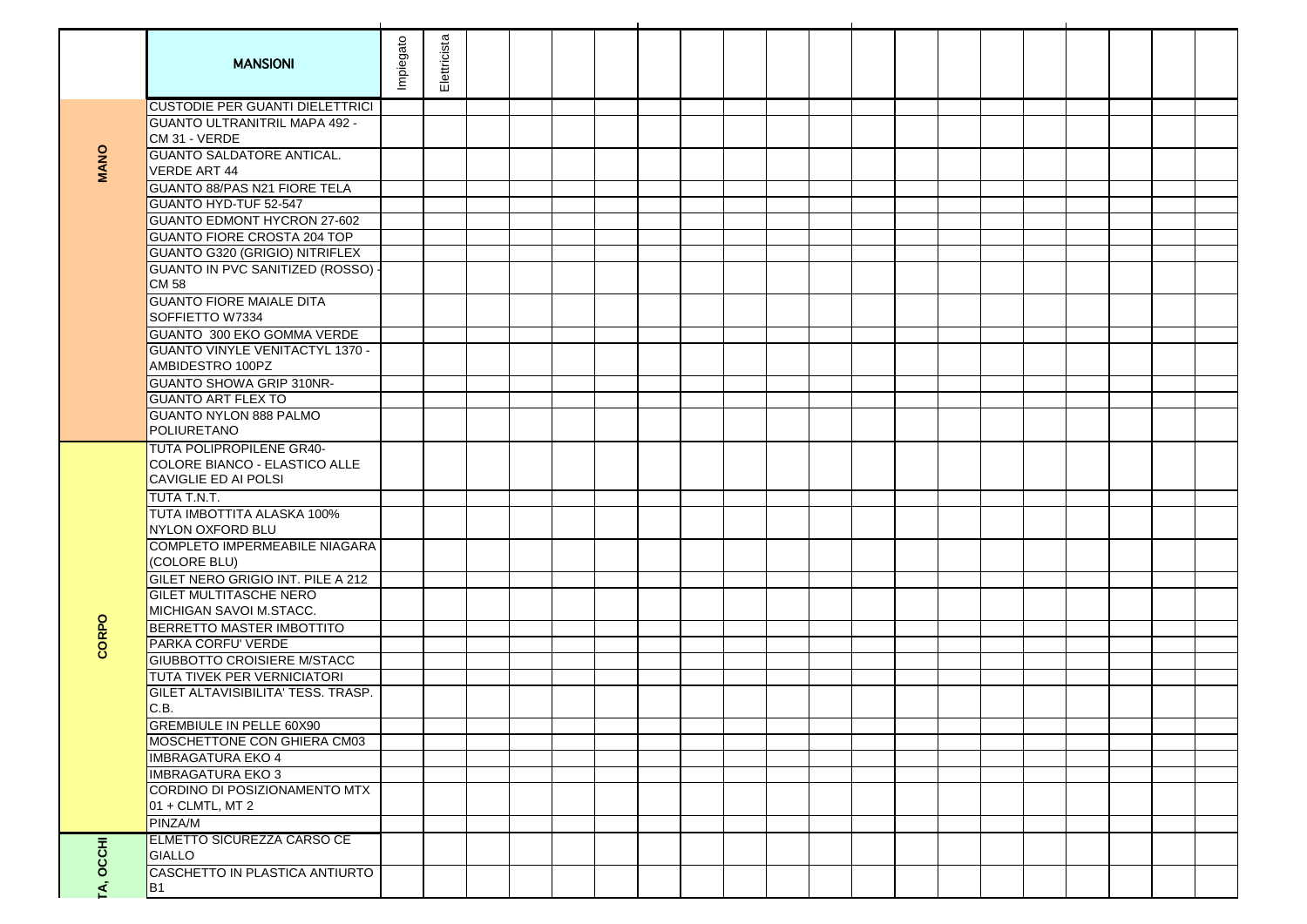|             |                                                                    | Impiegato | Elettricista |  |  |  |  |  |  |  |  |  |
|-------------|--------------------------------------------------------------------|-----------|--------------|--|--|--|--|--|--|--|--|--|
|             | <b>MANSIONI</b>                                                    |           |              |  |  |  |  |  |  |  |  |  |
|             |                                                                    |           |              |  |  |  |  |  |  |  |  |  |
|             | CUSTODIE PER GUANTI DIELETTRICI                                    |           |              |  |  |  |  |  |  |  |  |  |
|             | <b>GUANTO ULTRANITRIL MAPA 492 -</b><br>CM 31 - VERDE              |           |              |  |  |  |  |  |  |  |  |  |
|             | <b>GUANTO SALDATORE ANTICAL.</b>                                   |           |              |  |  |  |  |  |  |  |  |  |
| <b>MANO</b> | <b>VERDE ART 44</b>                                                |           |              |  |  |  |  |  |  |  |  |  |
|             | <b>GUANTO 88/PAS N21 FIORE TELA</b>                                |           |              |  |  |  |  |  |  |  |  |  |
|             | GUANTO HYD-TUF 52-547                                              |           |              |  |  |  |  |  |  |  |  |  |
|             | GUANTO EDMONT HYCRON 27-602                                        |           |              |  |  |  |  |  |  |  |  |  |
|             | <b>GUANTO FIORE CROSTA 204 TOP</b>                                 |           |              |  |  |  |  |  |  |  |  |  |
|             | GUANTO G320 (GRIGIO) NITRIFLEX                                     |           |              |  |  |  |  |  |  |  |  |  |
|             | GUANTO IN PVC SANITIZED (ROSSO)<br><b>CM 58</b>                    |           |              |  |  |  |  |  |  |  |  |  |
|             | <b>GUANTO FIORE MAIALE DITA</b>                                    |           |              |  |  |  |  |  |  |  |  |  |
|             | SOFFIETTO W7334                                                    |           |              |  |  |  |  |  |  |  |  |  |
|             | GUANTO 300 EKO GOMMA VERDE                                         |           |              |  |  |  |  |  |  |  |  |  |
|             | <b>GUANTO VINYLE VENITACTYL 1370 -</b>                             |           |              |  |  |  |  |  |  |  |  |  |
|             | AMBIDESTRO 100PZ                                                   |           |              |  |  |  |  |  |  |  |  |  |
|             | <b>GUANTO SHOWA GRIP 310NR-</b>                                    |           |              |  |  |  |  |  |  |  |  |  |
|             | <b>GUANTO ART FLEX TO</b>                                          |           |              |  |  |  |  |  |  |  |  |  |
|             | <b>GUANTO NYLON 888 PALMO</b>                                      |           |              |  |  |  |  |  |  |  |  |  |
|             | POLIURETANO<br>TUTA POLIPROPILENE GR40-                            |           |              |  |  |  |  |  |  |  |  |  |
|             | COLORE BIANCO - ELASTICO ALLE                                      |           |              |  |  |  |  |  |  |  |  |  |
|             | CAVIGLIE ED AI POLSI                                               |           |              |  |  |  |  |  |  |  |  |  |
|             | TUTA T.N.T.                                                        |           |              |  |  |  |  |  |  |  |  |  |
|             | TUTA IMBOTTITA ALASKA 100%                                         |           |              |  |  |  |  |  |  |  |  |  |
|             | NYLON OXFORD BLU                                                   |           |              |  |  |  |  |  |  |  |  |  |
|             | <b>COMPLETO IMPERMEABILE NIAGARA</b>                               |           |              |  |  |  |  |  |  |  |  |  |
|             | (COLORE BLU)                                                       |           |              |  |  |  |  |  |  |  |  |  |
|             | GILET NERO GRIGIO INT. PILE A 212<br><b>GILET MULTITASCHE NERO</b> |           |              |  |  |  |  |  |  |  |  |  |
|             | MICHIGAN SAVOI M.STACC.                                            |           |              |  |  |  |  |  |  |  |  |  |
|             | <b>BERRETTO MASTER IMBOTTITO</b>                                   |           |              |  |  |  |  |  |  |  |  |  |
| CORPO       | <b>PARKA CORFU' VERDE</b>                                          |           |              |  |  |  |  |  |  |  |  |  |
|             | <b>GIUBBOTTO CROISIERE M/STACC</b>                                 |           |              |  |  |  |  |  |  |  |  |  |
|             | TUTA TIVEK PER VERNICIATORI                                        |           |              |  |  |  |  |  |  |  |  |  |
|             | GILET ALTAVISIBILITA' TESS. TRASP.                                 |           |              |  |  |  |  |  |  |  |  |  |
|             | C.B.                                                               |           |              |  |  |  |  |  |  |  |  |  |
|             | <b>GREMBIULE IN PELLE 60X90</b>                                    |           |              |  |  |  |  |  |  |  |  |  |
|             | MOSCHETTONE CON GHIERA CM03<br><b>IMBRAGATURA EKO 4</b>            |           |              |  |  |  |  |  |  |  |  |  |
|             | <b>IMBRAGATURA EKO 3</b>                                           |           |              |  |  |  |  |  |  |  |  |  |
|             | CORDINO DI POSIZIONAMENTO MTX                                      |           |              |  |  |  |  |  |  |  |  |  |
|             | $01 + CLMTL, MT2$                                                  |           |              |  |  |  |  |  |  |  |  |  |
|             | PINZA/M                                                            |           |              |  |  |  |  |  |  |  |  |  |
|             | ELMETTO SICUREZZA CARSO CE                                         |           |              |  |  |  |  |  |  |  |  |  |
| OCCHI       | <b>GIALLO</b>                                                      |           |              |  |  |  |  |  |  |  |  |  |
|             | CASCHETTO IN PLASTICA ANTIURTO                                     |           |              |  |  |  |  |  |  |  |  |  |
| É,          | B <sub>1</sub>                                                     |           |              |  |  |  |  |  |  |  |  |  |
|             |                                                                    |           |              |  |  |  |  |  |  |  |  |  |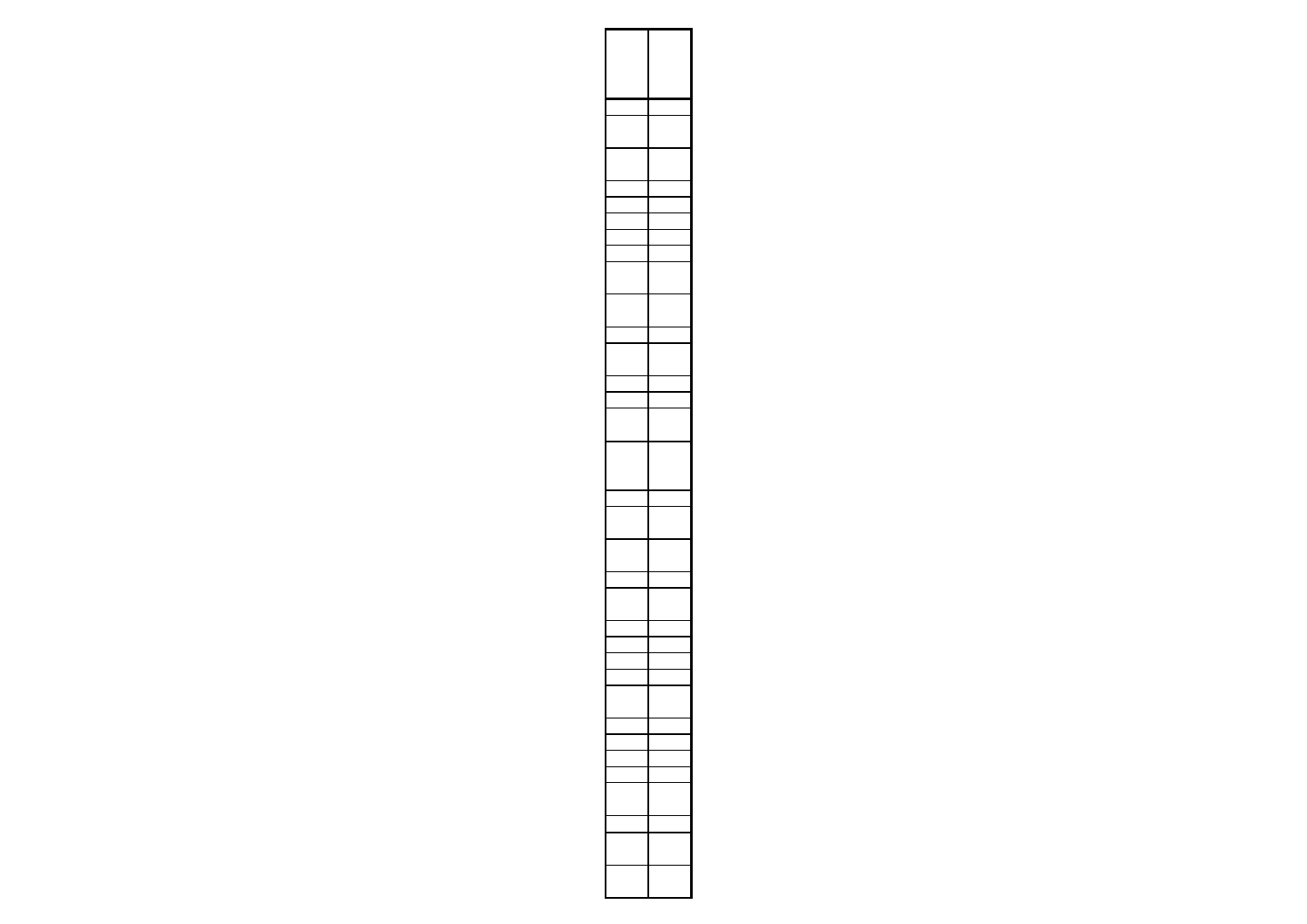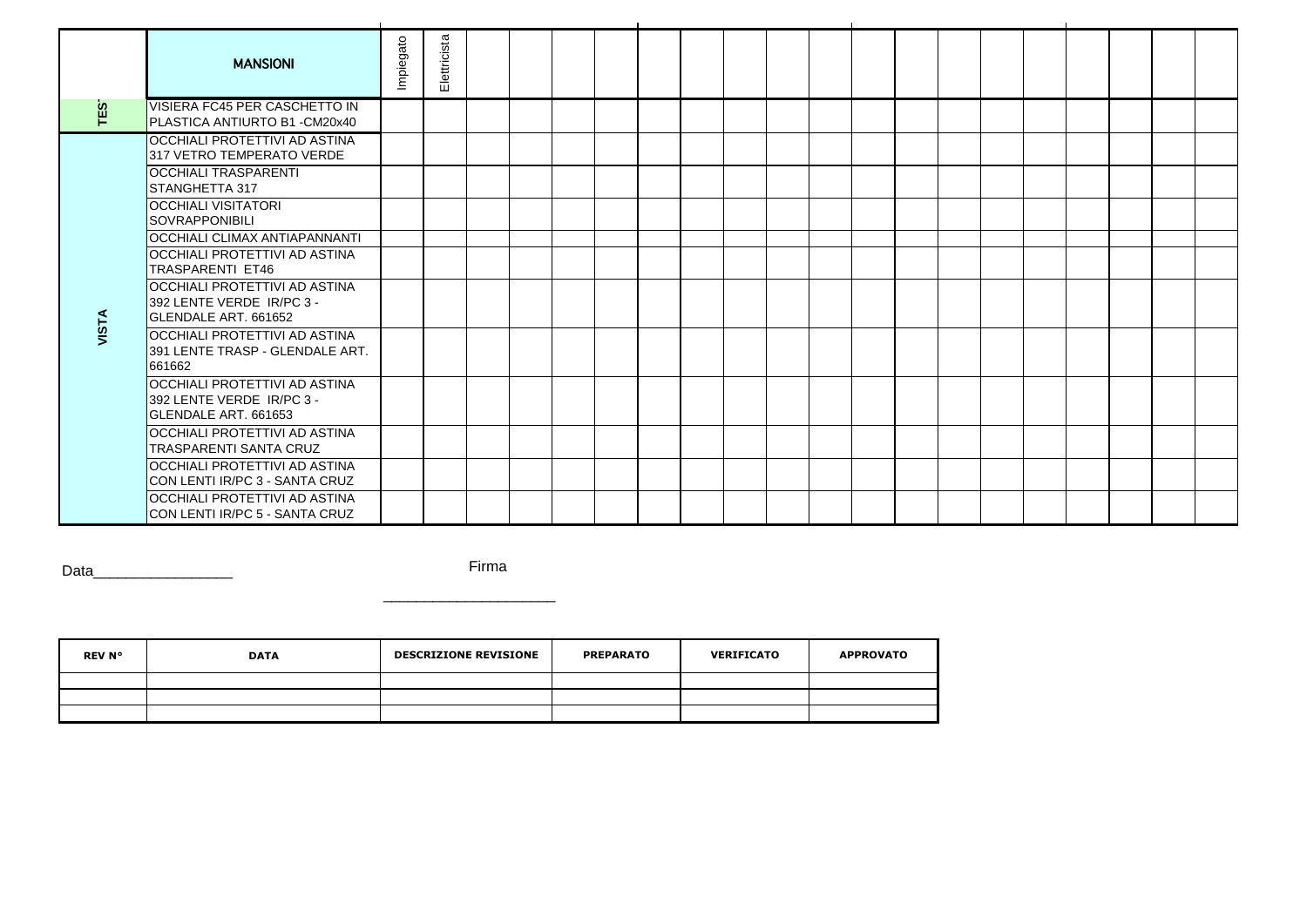|               | <b>MANSIONI</b>                                                                                  | Impiegato | Elettricista |                              |  |                  |  |                   |  |                  |  |  |  |  |
|---------------|--------------------------------------------------------------------------------------------------|-----------|--------------|------------------------------|--|------------------|--|-------------------|--|------------------|--|--|--|--|
| <b>TES</b>    | VISIERA FC45 PER CASCHETTO IN<br><b>PLASTICA ANTIURTO B1 - CM20x40</b>                           |           |              |                              |  |                  |  |                   |  |                  |  |  |  |  |
|               | <b>OCCHIALI PROTETTIVI AD ASTINA</b><br>317 VETRO TEMPERATO VERDE                                |           |              |                              |  |                  |  |                   |  |                  |  |  |  |  |
|               | <b>OCCHIALI TRASPARENTI</b><br><b>STANGHETTA 317</b>                                             |           |              |                              |  |                  |  |                   |  |                  |  |  |  |  |
|               | <b>OCCHIALI VISITATORI</b><br>SOVRAPPONIBILI                                                     |           |              |                              |  |                  |  |                   |  |                  |  |  |  |  |
| <b>VISTA</b>  | <b>OCCHIALI CLIMAX ANTIAPANNANTI</b><br><b>OCCHIALI PROTETTIVI AD ASTINA</b><br>TRASPARENTI ET46 |           |              |                              |  |                  |  |                   |  |                  |  |  |  |  |
|               | <b>OCCHIALI PROTETTIVI AD ASTINA</b><br>392 LENTE VERDE IR/PC 3 -<br>GLENDALE ART. 661652        |           |              |                              |  |                  |  |                   |  |                  |  |  |  |  |
|               | <b>OCCHIALI PROTETTIVI AD ASTINA</b><br>391 LENTE TRASP - GLENDALE ART.<br>661662                |           |              |                              |  |                  |  |                   |  |                  |  |  |  |  |
|               | <b>OCCHIALI PROTETTIVI AD ASTINA</b><br>392 LENTE VERDE IR/PC 3 -<br><b>GLENDALE ART, 661653</b> |           |              |                              |  |                  |  |                   |  |                  |  |  |  |  |
|               | <b>OCCHIALI PROTETTIVI AD ASTINA</b><br>TRASPARENTI SANTA CRUZ                                   |           |              |                              |  |                  |  |                   |  |                  |  |  |  |  |
|               | OCCHIALI PROTETTIVI AD ASTINA<br>CON LENTI IR/PC 3 - SANTA CRUZ                                  |           |              |                              |  |                  |  |                   |  |                  |  |  |  |  |
|               | <b>OCCHIALI PROTETTIVI AD ASTINA</b><br>CON LENTI IR/PC 5 - SANTA CRUZ                           |           |              |                              |  |                  |  |                   |  |                  |  |  |  |  |
| Data          |                                                                                                  |           |              | Firma                        |  |                  |  |                   |  |                  |  |  |  |  |
|               |                                                                                                  |           |              |                              |  |                  |  |                   |  |                  |  |  |  |  |
| <b>REV N°</b> | <b>DATA</b>                                                                                      |           |              | <b>DESCRIZIONE REVISIONE</b> |  | <b>PREPARATO</b> |  | <b>VERIFICATO</b> |  | <b>APPROVATO</b> |  |  |  |  |

| <b>REV N°</b> | <b>DATA</b> | <b>DESCRIZIONE REVISIONE</b> | <b>PREPARATO</b> | <b>VERIFICATO</b> | <b>APPROVATO</b> |  |  |
|---------------|-------------|------------------------------|------------------|-------------------|------------------|--|--|
|               |             |                              |                  |                   |                  |  |  |
|               |             |                              |                  |                   |                  |  |  |
|               |             |                              |                  |                   |                  |  |  |